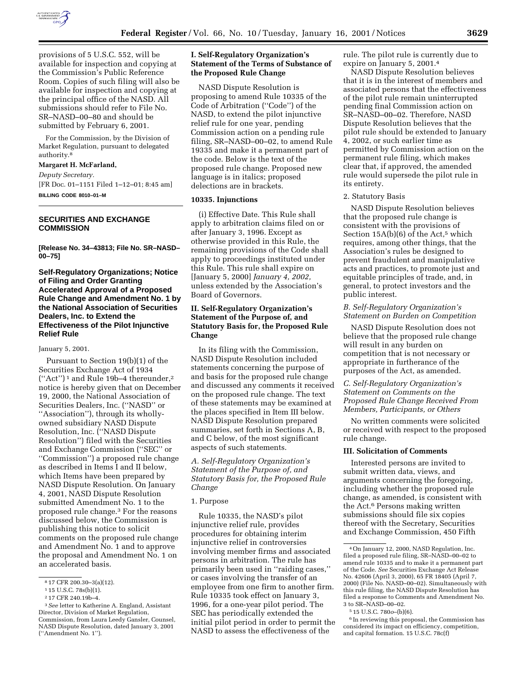

provisions of 5 U.S.C. 552, will be available for inspection and copying at the Commission's Public Reference Room. Copies of such filing will also be available for inspection and copying at the principal office of the NASD. All submissions should refer to File No. SR–NASD–00–80 and should be submitted by February 6, 2001.

For the Commission, by the Division of Market Regulation, pursuant to delegated authority.8

#### **Margaret H. McFarland,**

*Deputy Secretary.* [FR Doc. 01–1151 Filed 1–12–01; 8:45 am] **BILLING CODE 8010–01–M**

### **SECURITIES AND EXCHANGE COMMISSION**

**[Release No. 34–43813; File No. SR–NASD– 00–75]**

**Self-Regulatory Organizations; Notice of Filing and Order Granting Accelerated Approval of a Proposed Rule Change and Amendment No. 1 by the National Association of Securities Dealers, Inc. to Extend the Effectiveness of the Pilot Injunctive Relief Rule**

#### January 5, 2001.

Pursuant to Section 19(b)(1) of the Securities Exchange Act of 1934 (''Act'') 1 and Rule 19b–4 thereunder,2 notice is hereby given that on December 19, 2000, the National Association of Securities Dealers, Inc. (''NASD'' or ''Association''), through its whollyowned subsidiary NASD Dispute Resolution, Inc. (''NASD Dispute Resolution'') filed with the Securities and Exchange Commission (''SEC'' or ''Commission'') a proposed rule change as described in Items I and II below, which Items have been prepared by NASD Dispute Resolution. On January 4, 2001, NASD Dispute Resolution submitted Amendment No. 1 to the proposed rule change.3 For the reasons discussed below, the Commission is publishing this notice to solicit comments on the proposed rule change and Amendment No. 1 and to approve the proposal and Amendment No. 1 on an accelerated basis.

# **I. Self-Regulatory Organization's Statement of the Terms of Substance of the Proposed Rule Change**

NASD Dispute Resolution is proposing to amend Rule 10335 of the Code of Arbitration (''Code'') of the NASD, to extend the pilot injunctive relief rule for one year, pending Commission action on a pending rule filing, SR–NASD–00–02, to amend Rule 19335 and make it a permanent part of the code. Below is the text of the proposed rule change. Proposed new language is in italics; proposed delections are in brackets.

#### **10335. Injunctions**

(i) Effective Date. This Rule shall apply to arbitration claims filed on or after January 3, 1996. Except as otherwise provided in this Rule, the remaining provisions of the Code shall apply to proceedings instituted under this Rule. This rule shall expire on [January 5, 2000] *January 4, 2002,* unless extended by the Association's Board of Governors.

# **II. Self-Regulatory Organization's Statement of the Purpose of, and Statutory Basis for, the Proposed Rule Change**

In its filing with the Commission, NASD Dispute Resolution included statements concerning the purpose of and basis for the proposed rule change and discussed any comments it received on the proposed rule change. The text of these statements may be examined at the places specified in Item III below. NASD Dispute Resolution prepared summaries, set forth in Sections A, B, and C below, of the most significant aspects of such statements.

*A. Self-Regulatory Organization's Statement of the Purpose of, and Statutory Basis for, the Proposed Rule Change*

#### 1. Purpose

Rule 10335, the NASD's pilot injunctive relief rule, provides procedures for obtaining interim injunctive relief in controversies involving member firms and associated persons in arbitration. The rule has primarily been used in ''raiding cases,'' or cases involving the transfer of an employee from one firm to another firm. Rule 10335 took effect on January 3, 1996, for a one-year pilot period. The SEC has periodically extended the initial pilot period in order to permit the NASD to assess the effectiveness of the

rule. The pilot rule is currently due to expire on January 5, 2001.4

NASD Dispute Resolution believes that it is in the interest of members and associated persons that the effectiveness of the pilot rule remain uninterrupted pending final Commission action on SR–NASD–00–02. Therefore, NASD Dispute Resolution believes that the pilot rule should be extended to January 4, 2002, or such earlier time as permitted by Commission action on the permanent rule filing, which makes clear that, if approved, the amended rule would supersede the pilot rule in its entirety.

### 2. Statutory Basis

NASD Dispute Resolution believes that the proposed rule change is consistent with the provisions of Section  $15A(b)(6)$  of the Act,<sup>5</sup> which requires, among other things, that the Association's rules be designed to prevent fraudulent and manipulative acts and practices, to promote just and equitable principles of trade, and, in general, to protect investors and the public interest.

#### *B. Self-Regulatory Organization's Statement on Burden on Competition*

NASD Dispute Resolution does not believe that the proposed rule change will result in any burden on competition that is not necessary or appropriate in furtherance of the purposes of the Act, as amended.

# *C. Self-Regulatory Organization's Statement on Comments on the Proposed Rule Change Received From Members, Participants, or Others*

No written comments were solicited or received with respect to the proposed rule change.

#### **III. Solicitation of Comments**

Interested persons are invited to submit written data, views, and arguments concerning the foregoing, including whether the proposed rule change, as amended, is consistent with the Act.6 Persons making written submissions should file six copies thereof with the Secretary, Securities and Exchange Commission, 450 Fifth

<sup>8</sup> 17 CFR 200.30–3(a)(12).

<sup>1</sup> 15 U.S.C. 78s(b)(1).

<sup>2</sup> 17 CFR 240.19b–4.

<sup>3</sup>*See* letter to Katherine A. England, Assistant Director, Division of Market Regulation, Commission, from Laura Leedy Gansler, Counsel, NASD Dispute Resolution, dated January 3, 2001 (''Amendment No. 1'').

<sup>4</sup>On January 12, 2000, NASD Regulation, Inc. filed a proposed rule filing, SR–NASD–00–02 to amend rule 10335 and to make it a permanent part of the Code. *See* Securities Exchange Act Release No. 42606 (April 3, 2000), 65 FR 18405 (April 7, 2000) (File No. NASD–00–02). Simultaneously with this rule filing, the NASD Dispute Resolution has filed a response to Comments and Amendment No. 3 to SR–NASD–00–02.

<sup>5</sup> 15 U.S.C. 780*o*–(b)(6).

<sup>6</sup> In reviewing this proposal, the Commission has considered its impact on efficiency, competition, and capital formation. 15 U.S.C. 78c(f)